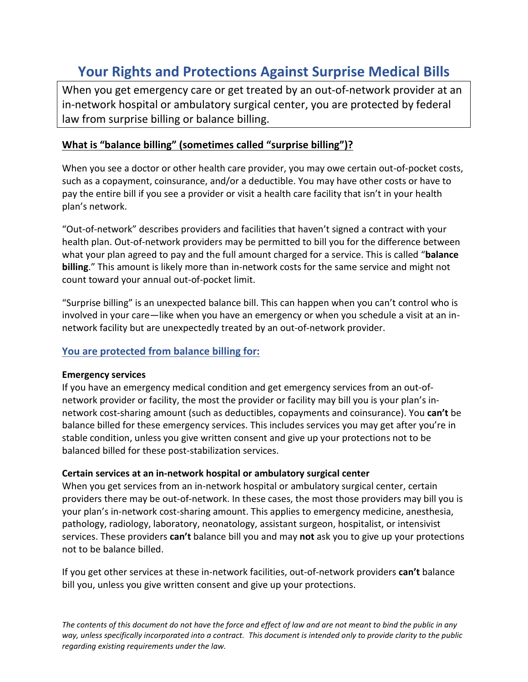# **Your Rights and Protections Against Surprise Medical Bills**

When you get emergency care or get treated by an out-of-network provider at an in-network hospital or ambulatory surgical center, you are protected by federal law from surprise billing or balance billing.

## **What is "balance billing" (sometimes called "surprise billing")?**

When you see a doctor or other health care provider, you may owe certain out-of-pocket costs, such as a copayment, coinsurance, and/or a deductible. You may have other costs or have to pay the entire bill if you see a provider or visit a health care facility that isn't in your health plan's network.

"Out-of-network" describes providers and facilities that haven't signed a contract with your health plan. Out-of-network providers may be permitted to bill you for the difference between what your plan agreed to pay and the full amount charged for a service. This is called "**balance billing**." This amount is likely more than in-network costs for the same service and might not count toward your annual out-of-pocket limit.

"Surprise billing" is an unexpected balance bill. This can happen when you can't control who is involved in your care—like when you have an emergency or when you schedule a visit at an innetwork facility but are unexpectedly treated by an out-of-network provider.

### **You are protected from balance billing for:**

#### **Emergency services**

If you have an emergency medical condition and get emergency services from an out-ofnetwork provider or facility, the most the provider or facility may bill you is your plan's innetwork cost-sharing amount (such as deductibles, copayments and coinsurance). You **can't** be balance billed for these emergency services. This includes services you may get after you're in stable condition, unless you give written consent and give up your protections not to be balanced billed for these post-stabilization services.

#### **Certain services at an in-network hospital or ambulatory surgical center**

When you get services from an in-network hospital or ambulatory surgical center, certain providers there may be out-of-network. In these cases, the most those providers may bill you is your plan's in-network cost-sharing amount. This applies to emergency medicine, anesthesia, pathology, radiology, laboratory, neonatology, assistant surgeon, hospitalist, or intensivist services. These providers **can't** balance bill you and may **not** ask you to give up your protections not to be balance billed.

If you get other services at these in-network facilities, out-of-network providers **can't** balance bill you, unless you give written consent and give up your protections.

*The contents of this document do not have the force and effect of law and are not meant to bind the public in any way, unless specifically incorporated into a contract. This document is intended only to provide clarity to the public regarding existing requirements under the law.*